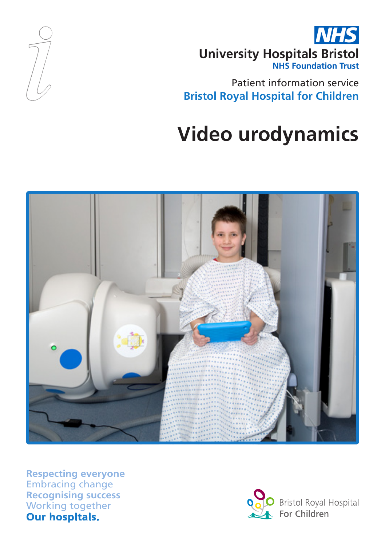

Patient information service **Bristol Royal Hospital for Children**

# **Video urodynamics**



**Respecting everyone** Embracing change **Recognising success** Working together **Our hospitals.**

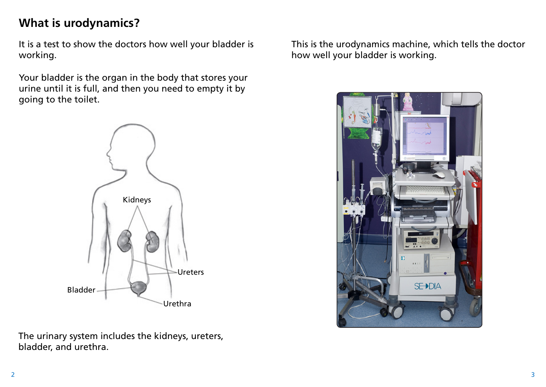# **What is urodynamics?**

It is a test to show the doctors how well your bladder is working.

Your bladder is the organ in the body that stores your urine until it is full, and then you need to empty it by going to the toilet.



The urinary system includes the kidneys, ureters, bladder, and urethra.

This is the urodynamics machine, which tells the doctor how well your bladder is working.

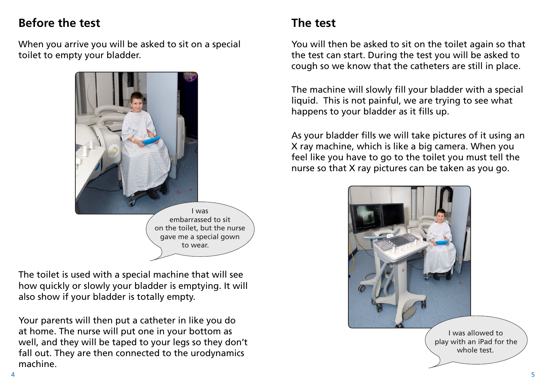# **Before the test**

When you arrive you will be asked to sit on a special toilet to empty your bladder.



The toilet is used with a special machine that will see how quickly or slowly your bladder is emptying. It will also show if your bladder is totally empty.

Your parents will then put a catheter in like you do at home. The nurse will put one in your bottom as well, and they will be taped to your legs so they don't fall out. They are then connected to the urodynamics machine.

# **The test**

You will then be asked to sit on the toilet again so that the test can start. During the test you will be asked to cough so we know that the catheters are still in place.

The machine will slowly fill your bladder with a special liquid. This is not painful, we are trying to see what happens to your bladder as it fills up.

As your bladder fills we will take pictures of it using an X ray machine, which is like a big camera. When you feel like you have to go to the toilet you must tell the nurse so that X ray pictures can be taken as you go.

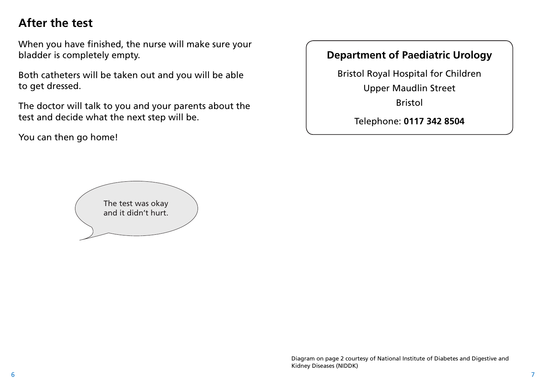# **After the test**

When you have finished, the nurse will make sure your bladder is completely empty.

Both catheters will be taken out and you will be able to get dressed.

The doctor will talk to you and your parents about the test and decide what the next step will be.

You can then go home!

#### **Department of Paediatric Urology**

Bristol Royal Hospital for Children Upper Maudlin Street

Bristol

Telephone: **0117 342 8504**

The test was okay and it didn't hurt.